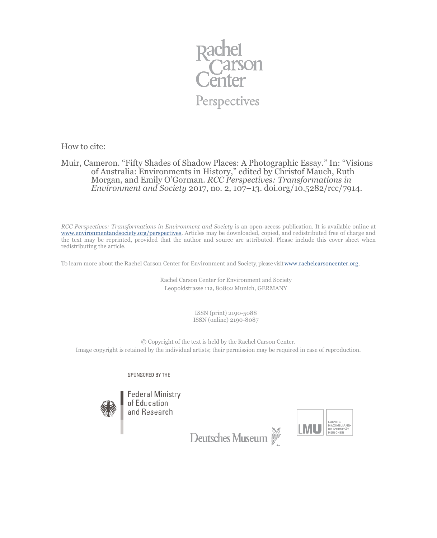

How to cite:

## Muir, Cameron. "Fifty Shades of Shadow Places: A Photographic Essay." In: "Visions of Australia: Environments in History," edited by Christof Mauch, Ruth Morgan, and Emily O'Gorman. *RCC Perspectives: Transformations in Environment and Society* 2017, no. 2, 107–13. doi.org/10.5282/rcc/7914.

*RCC Perspectives: Transformations in Environment and Society* is an open-access publication. It is available online at [www.environmentandsociety.org/perspectives.](http://www.environmentandsociety.org/perspectives) Articles may be downloaded, copied, and redistributed free of charge and the text may be reprinted, provided that the author and source are attributed. Please include this cover sheet when redistributing the article.

To learn more about the Rachel Carson Center for Environment and Society, please visi[t www.rachelcarsoncenter.org.](http://www.rachelcarsoncenter.org/)

Rachel Carson Center for Environment and Society Leopoldstrasse 11a, 80802 Munich, GERMANY

> ISSN (print) 2190-5088 ISSN (online) 2190-8087

© Copyright of the text is held by the Rachel Carson Center. Image copyright is retained by the individual artists; their permission may be required in case of reproduction.

SPONSORED BY THE





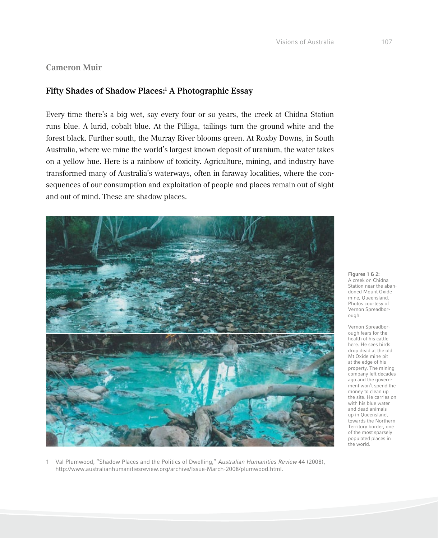# **Cameron Muir**

# **Fifty Shades of Shadow Places:1 A Photographic Essay**

Every time there's a big wet, say every four or so years, the creek at Chidna Station runs blue. A lurid, cobalt blue. At the Pilliga, tailings turn the ground white and the forest black. Further south, the Murray River blooms green. At Roxby Downs, in South Australia, where we mine the world's largest known deposit of uranium, the water takes on a yellow hue. Here is a rainbow of toxicity. Agriculture, mining, and industry have transformed many of Australia's waterways, often in faraway localities, where the consequences of our consumption and exploitation of people and places remain out of sight and out of mind. These are shadow places.



**Figures 1 & 2:** A creek on Chidna Station near the abandoned Mount Oxide mine, Queensland. Photos courtesy of Vernon Spreadborough.

Vernon Spreadborough fears for the health of his cattle here. He sees birds drop dead at the old Mt Oxide mine pit at the edge of his property. The mining company left decades ago and the government won't spend the money to clean up the site. He carries on with his blue water and dead animals up in Queensland, towards the Northern Territory border, one of the most sparsely populated places in the world.

1 Val Plumwood, "Shadow Places and the Politics of Dwelling," *Australian Humanities Review* 44 (2008), http://www.australianhumanitiesreview.org/archive/Issue-March-2008/plumwood.html.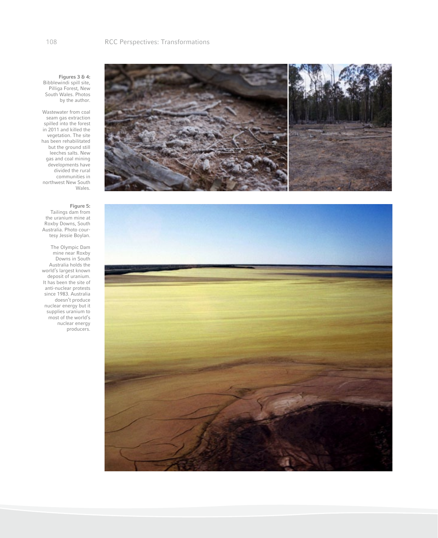### 108 RCC Perspectives: Transformations

**Figures 3 & 4:** Bibblewindi spill site, Pilliga Forest, New South Wales. Photos by the author.

Wastewater from coal seam gas extraction spilled into the forest in 2011 and killed the vegetation. The site has been rehabilitated but the ground still leeches salts. New gas and coal mining developments have divided the rural communities in northwest New South Wales.

### **Figure 5:**

Tailings dam from the uranium mine at Roxby Downs, South Australia. Photo courtesy Jessie Boylan.

The Olympic Dam mine near Roxby Downs in South Australia holds the world's largest known deposit of uranium. It has been the site of anti-nuclear protests since 1983. Australia doesn't produce nuclear energy but it supplies uranium to most of the world's nuclear energy producers.



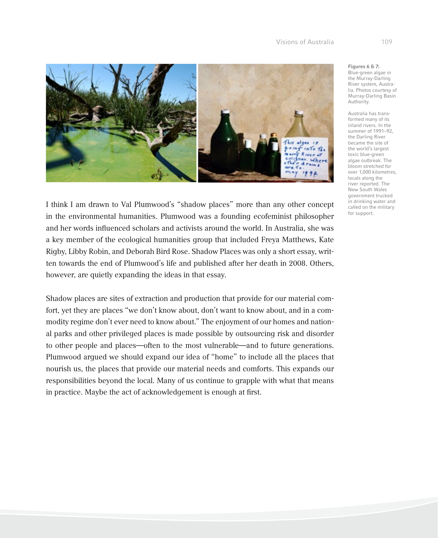

I think I am drawn to Val Plumwood's "shadow places" more than any other concept in the environmental humanities. Plumwood was a founding ecofeminist philosopher and her words influenced scholars and activists around the world. In Australia, she was a key member of the ecological humanities group that included Freya Matthews, Kate Rigby, Libby Robin, and Deborah Bird Rose. Shadow Places was only a short essay, written towards the end of Plumwood's life and published after her death in 2008. Others, however, are quietly expanding the ideas in that essay.

Shadow places are sites of extraction and production that provide for our material comfort, yet they are places "we don't know about, don't want to know about, and in a commodity regime don't ever need to know about." The enjoyment of our homes and national parks and other privileged places is made possible by outsourcing risk and disorder to other people and places—often to the most vulnerable—and to future generations. Plumwood argued we should expand our idea of "home" to include all the places that nourish us, the places that provide our material needs and comforts. This expands our responsibilities beyond the local. Many of us continue to grapple with what that means in practice. Maybe the act of acknowledgement is enough at first.

#### **Figures 6 & 7:** Blue-green algae in the Murray-Darling River system, Australia. Photos courtesy of

Australia has transformed many of its inland rivers. In the summer of 1991–92, the Darling River became the site of the world's largest toxic blue-green algae outbreak. The bloom stretched for over 1,000 kilometres, locals along the river reported. The New South Wales government trucked in drinking water and called on the military for support.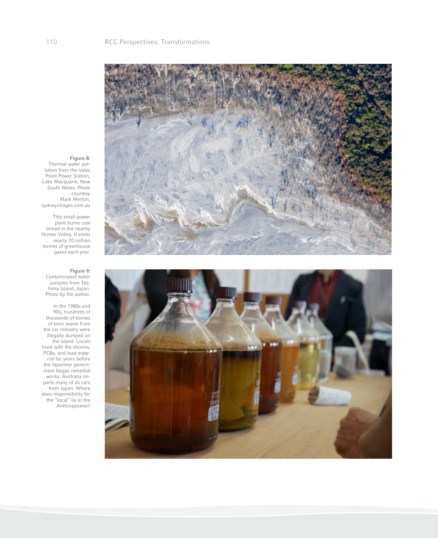



#### **Figure 8:** Thermal water pollution from the Vales Point Power Station, Lake Macquarie, New South Wales. Photo courtesy Mark Merton, sydneyimages.com.au

This small power plant burns coal mined in the nearby Hunter Valley. It emits nearly 10 million tonnes of greenhouse gases each year.

### **Figure 9:**

Contaminated water samples from Teshima Island, Japan. Photo by the author.

In the 1980s and 90s, hundreds of thousands of tonnes of toxic waste from the car industry were illegally dumped on the island. Locals lived with the dioxins, PCBs, and lead material for years before the Japanese government began remedial works. Australia imports many of its cars from Japan. Where does responsibility for the "local" lie in the Anthropocene?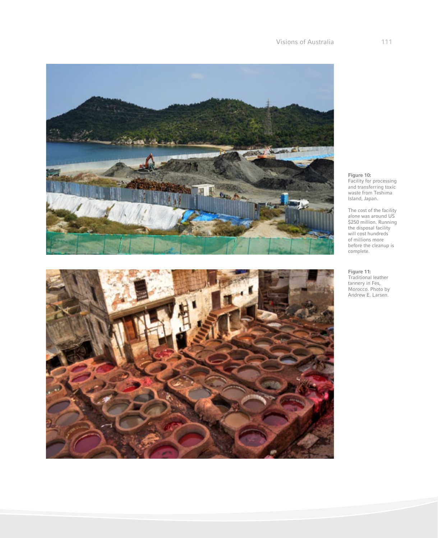





**Figure 10:** Facility for processing and transferring toxic waste from Teshima Island, Japan.

The cost of the facility<br>
alone was around US<br>
\$250 million. Running<br>
the disposal facility<br>
will cost hundreds<br>
of millions more before the cleanup is complete.

**Figure 11:**  Traditional leather tannery in Fes, Morocco. Photo by Andrew E. Larsen.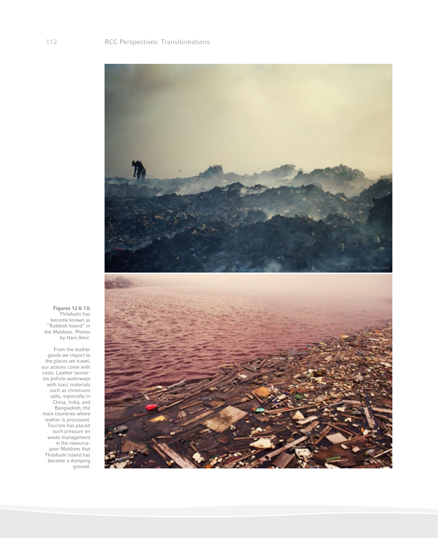

**Figures 12 & 13:** Thilafushi has become known as "Rubbish Island" in the Maldives. Photos by Hani Amir.

From the leather goods we import to the places we travel, our actions come with costs. Leather tanneries pollute waterways with toxic materials such as chromium salts, especially in China, India, and Bangladesh, the main countries where leather is processed. Tourism has placed such pressure on waste management in the resourcepoor Maldives that Thilafushi Island has become a dumping ground.